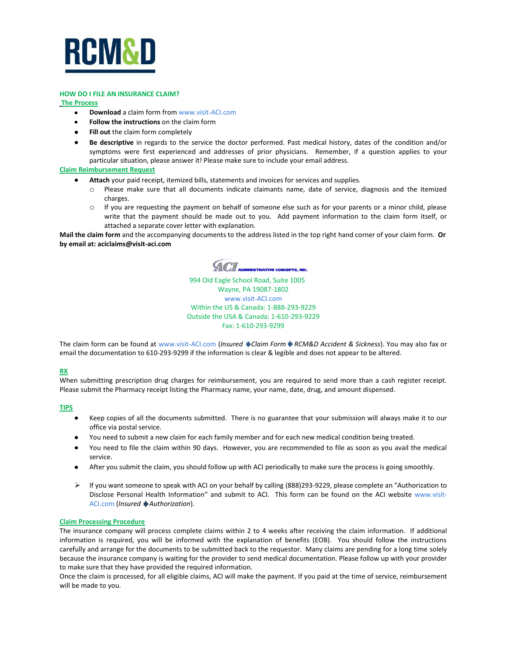

#### **HOW DO I FILE AN INSURANCE CLAIM?**

**The Process**

- **Download** a claim form from [www.visit-ACI.com](http://www.visit-aci.com/)  $\bullet$
- **Follow the instructions** on the claim form
- **Fill out** the claim form completely
- **Be descriptive** in regards to the service the doctor performed. Past medical history, dates of the condition and/or  $\bullet$ symptoms were first experienced and addresses of prior physicians. Remember, if a question applies to your particular situation, please answer it! Please make sure to include your email address.

### **Claim Reimbursement Request**

- **Attach** your paid receipt, itemized bills, statements and invoices for services and supplies.
	- o Please make sure that all documents indicate claimants name, date of service, diagnosis and the itemized charges.
	- $\circ$  If you are requesting the payment on behalf of someone else such as for your parents or a minor child, please write that the payment should be made out to you. Add payment information to the claim form itself, or attached a separate cover letter with explanation.

**Mail the claim form** and the accompanying documents to the address listed in the top right hand corner of your claim form. **Or by email at: aciclaims@visit-aci.com**

 $ACI$ **IISTRATIVE CONCEPTS, INC.** 

 994 Old Eagle School Road, Suite 1005 Wayne, PA 19087-1802 [www.visit-ACI.com](http://www.visit-aci.com/) Within the US & Canada: 1-888-293-9229 Outside the USA & Canada: 1-610-293-9229 Fax: 1-610-293-9299

The claim form can be found at [www.visit-ACI.com](http://www.visit-aci.com/) (*Insured Claim Form RCM&D Accident & Sickness*). You may also fax or email the documentation to 610-293-9299 if the information is clear & legible and does not appear to be altered.

## **RX**

When submitting prescription drug charges for reimbursement, you are required to send more than a cash register receipt. Please submit the Pharmacy receipt listing the Pharmacy name, your name, date, drug, and amount dispensed.

## **TIPS**

- Keep copies of all the documents submitted. There is no guarantee that your submission will always make it to our office via postal service.
- You need to submit a new claim for each family member and for each new medical condition being treated.
- You need to file the claim within 90 days. However, you are recommended to file as soon as you avail the medical  $\bullet$ service.
- After you submit the claim, you should follow up with ACI periodically to make sure the process is going smoothly.
- $\triangleright$  If you want someone to speak with ACI on your behalf by calling (888)293-9229, please complete an "Authorization to [Disclose Personal Health Information](https://www.medicare.gov/MedicareOnlineForms/AuthorizationForm/OnlineFormStep.asp)" and submit to ACI. This form can be found on the ACI website [www.visit-](http://www.visit-aci.com/)[ACI.com](http://www.visit-aci.com/) (*Insured Authorization*).

### **Claim Processing Procedure**

The insurance company will process complete claims within 2 to 4 weeks after receiving the claim information. If additional information is required, you will be informed with the explanation of benefits (EOB). You should follow the instructions carefully and arrange for the documents to be submitted back to the requestor. Many claims are pending for a long time solely because the insurance company is waiting for the provider to send medical documentation. Please follow up with your provider to make sure that they have provided the required information.

Once the claim is processed, for all eligible claims, ACI will make the payment. If you paid at the time of service, reimbursement will be made to you.